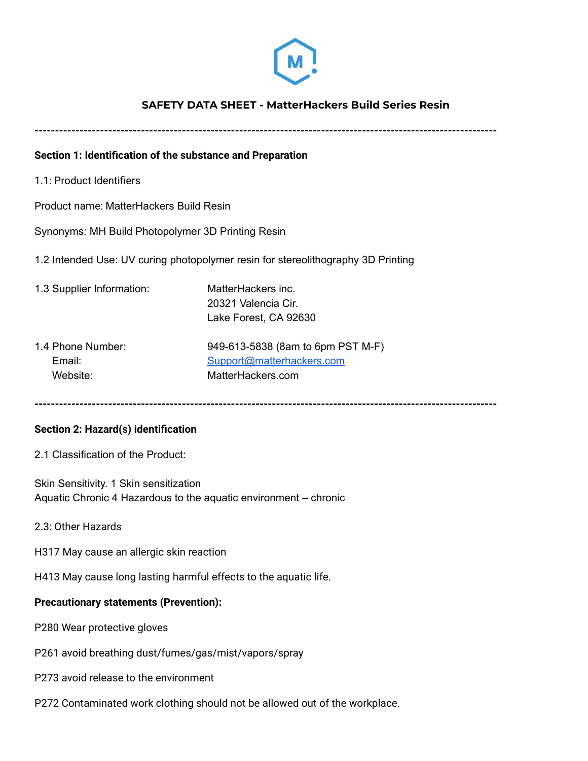

# **SAFETY DATA SHEET - MatterHackers Build Series Resin**

**-----------------------------------------------------------------------------------------------------------------**

### **Section 1: Identification of the substance and Preparation**

1.1: Product Identifiers

Product name: MatterHackers Build Resin

Synonyms: MH Build Photopolymer 3D Printing Resin

1.2 Intended Use: UV curing photopolymer resin for stereolithography 3D Printing

- 1.3 Supplier Information: MatterHackers inc. 20321 Valencia Cir. Lake Forest, CA 92630
- 1.4 Phone Number: 949-613-5838 (8am to 6pm PST M-F) Email: [Support@matterhackers.com](mailto:Support@matterhackers.com) Website: MatterHackers.com

**-----------------------------------------------------------------------------------------------------------------**

#### **Section 2: Hazard(s) identification**

2.1 Classification of the Product:

Skin Sensitivity. 1 Skin sensitization Aquatic Chronic 4 Hazardous to the aquatic environment – chronic

2.3: Other Hazards

H317 May cause an allergic skin reaction

H413 May cause long lasting harmful effects to the aquatic life.

#### **Precautionary statements (Prevention):**

P280 Wear protective gloves

- P261 avoid breathing dust/fumes/gas/mist/vapors/spray
- P273 avoid release to the environment
- P272 Contaminated work clothing should not be allowed out of the workplace.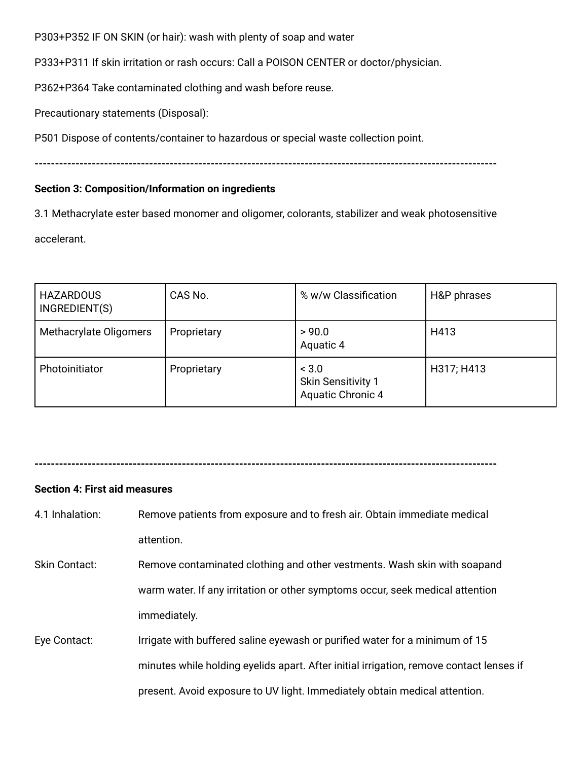P303+P352 IF ON SKIN (or hair): wash with plenty of soap and water

P333+P311 If skin irritation or rash occurs: Call a POISON CENTER or doctor/physician.

P362+P364 Take contaminated clothing and wash before reuse.

Precautionary statements (Disposal):

P501 Dispose of contents/container to hazardous or special waste collection point.

**-----------------------------------------------------------------------------------------------------------------**

# **Section 3: Composition/Information on ingredients**

3.1 Methacrylate ester based monomer and oligomer, colorants, stabilizer and weak photosensitive accelerant.

| <b>HAZARDOUS</b><br>INGREDIENT(S) | CAS No.     | % w/w Classification                                           | H&P phrases |
|-----------------------------------|-------------|----------------------------------------------------------------|-------------|
| Methacrylate Oligomers            | Proprietary | > 90.0<br>Aquatic 4                                            | H413        |
| Photoinitiator                    | Proprietary | < 3.0<br><b>Skin Sensitivity 1</b><br><b>Aquatic Chronic 4</b> | H317; H413  |

**-----------------------------------------------------------------------------------------------------------------**

# **Section 4: First aid measures**

- 4.1 Inhalation: Remove patients from exposure and to fresh air. Obtain immediate medical attention.
- Skin Contact: Remove contaminated clothing and other vestments. Wash skin with soapand warm water. If any irritation or other symptoms occur, seek medical attention immediately.
- Eye Contact: Irrigate with buffered saline eyewash or purified water for a minimum of 15 minutes while holding eyelids apart. After initial irrigation, remove contact lenses if present. Avoid exposure to UV light. Immediately obtain medical attention.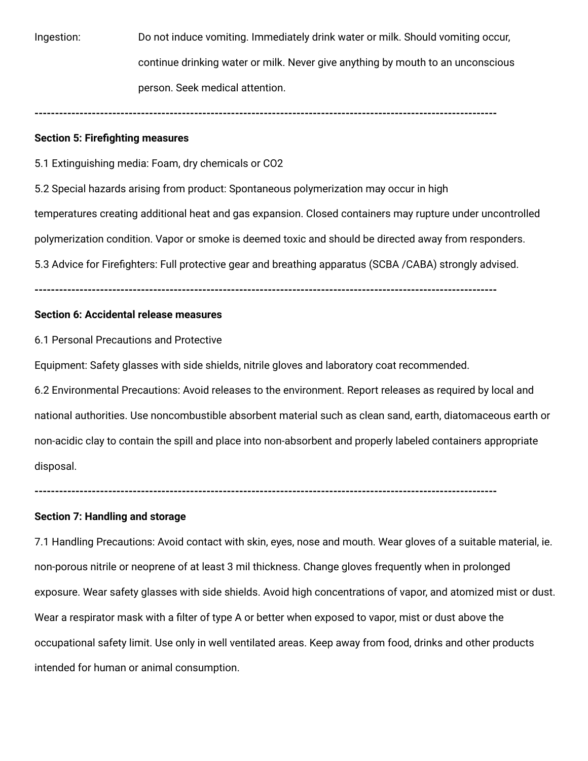Ingestion: Do not induce vomiting. Immediately drink water or milk. Should vomiting occur, continue drinking water or milk. Never give anything by mouth to an unconscious person. Seek medical attention.

**-----------------------------------------------------------------------------------------------------------------**

#### **Section 5: Firefighting measures**

5.1 Extinguishing media: Foam, dry chemicals or CO2

5.2 Special hazards arising from product: Spontaneous polymerization may occur in high temperatures creating additional heat and gas expansion. Closed containers may rupture under uncontrolled polymerization condition. Vapor or smoke is deemed toxic and should be directed away from responders. 5.3 Advice for Firefighters: Full protective gear and breathing apparatus (SCBA /CABA) strongly advised.

**-----------------------------------------------------------------------------------------------------------------**

### **Section 6: Accidental release measures**

6.1 Personal Precautions and Protective

Equipment: Safety glasses with side shields, nitrile gloves and laboratory coat recommended.

6.2 Environmental Precautions: Avoid releases to the environment. Report releases as required by local and national authorities. Use noncombustible absorbent material such as clean sand, earth, diatomaceous earth or non-acidic clay to contain the spill and place into non-absorbent and properly labeled containers appropriate disposal.

**-----------------------------------------------------------------------------------------------------------------**

#### **Section 7: Handling and storage**

7.1 Handling Precautions: Avoid contact with skin, eyes, nose and mouth. Wear gloves of a suitable material, ie. non-porous nitrile or neoprene of at least 3 mil thickness. Change gloves frequently when in prolonged exposure. Wear safety glasses with side shields. Avoid high concentrations of vapor, and atomized mist or dust. Wear a respirator mask with a filter of type A or better when exposed to vapor, mist or dust above the occupational safety limit. Use only in well ventilated areas. Keep away from food, drinks and other products intended for human or animal consumption.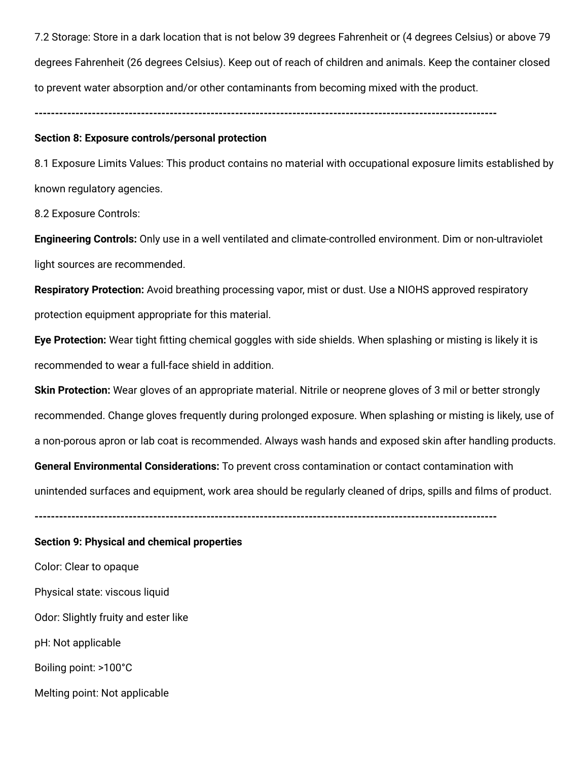7.2 Storage: Store in a dark location that is not below 39 degrees Fahrenheit or (4 degrees Celsius) or above 79 degrees Fahrenheit (26 degrees Celsius). Keep out of reach of children and animals. Keep the container closed to prevent water absorption and/or other contaminants from becoming mixed with the product.

**-----------------------------------------------------------------------------------------------------------------**

#### **Section 8: Exposure controls/personal protection**

8.1 Exposure Limits Values: This product contains no material with occupational exposure limits established by known regulatory agencies.

8.2 Exposure Controls:

**Engineering Controls:** Only use in a well ventilated and climate-controlled environment. Dim or non-ultraviolet light sources are recommended.

**Respiratory Protection:** Avoid breathing processing vapor, mist or dust. Use a NIOHS approved respiratory protection equipment appropriate for this material.

**Eye Protection:** Wear tight fitting chemical goggles with side shields. When splashing or misting is likely it is recommended to wear a full-face shield in addition.

**Skin Protection:** Wear gloves of an appropriate material. Nitrile or neoprene gloves of 3 mil or better strongly recommended. Change gloves frequently during prolonged exposure. When splashing or misting is likely, use of a non-porous apron or lab coat is recommended. Always wash hands and exposed skin after handling products. **General Environmental Considerations:** To prevent cross contamination or contact contamination with unintended surfaces and equipment, work area should be regularly cleaned of drips, spills and films of product.

**-----------------------------------------------------------------------------------------------------------------**

#### **Section 9: Physical and chemical properties**

Color: Clear to opaque Physical state: viscous liquid Odor: Slightly fruity and ester like pH: Not applicable Boiling point: >100°C

Melting point: Not applicable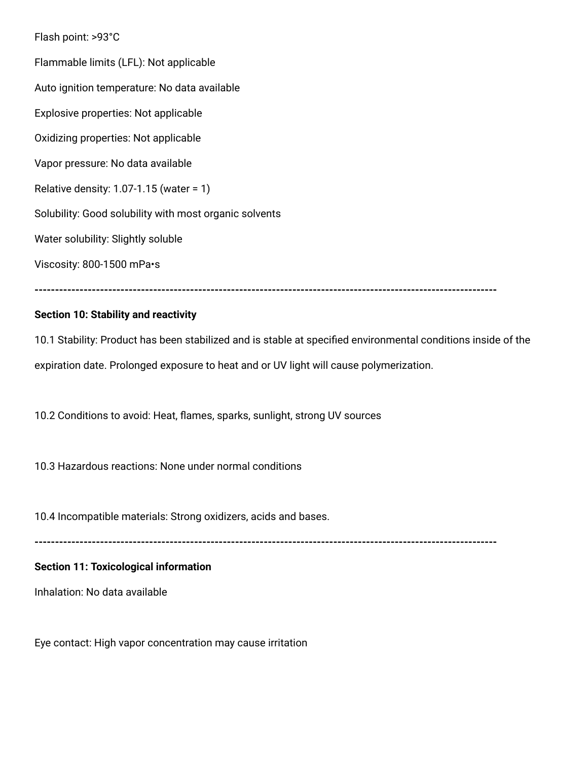Flash point: >93°C Flammable limits (LFL): Not applicable Auto ignition temperature: No data available Explosive properties: Not applicable Oxidizing properties: Not applicable Vapor pressure: No data available Relative density: 1.07-1.15 (water = 1) Solubility: Good solubility with most organic solvents Water solubility: Slightly soluble Viscosity: 800-1500 mPa•s

#### **Section 10: Stability and reactivity**

10.1 Stability: Product has been stabilized and is stable at specified environmental conditions inside of the expiration date. Prolonged exposure to heat and or UV light will cause polymerization.

**-----------------------------------------------------------------------------------------------------------------**

10.2 Conditions to avoid: Heat, flames, sparks, sunlight, strong UV sources

10.3 Hazardous reactions: None under normal conditions

10.4 Incompatible materials: Strong oxidizers, acids and bases.

**-----------------------------------------------------------------------------------------------------------------**

### **Section 11: Toxicological information**

Inhalation: No data available

Eye contact: High vapor concentration may cause irritation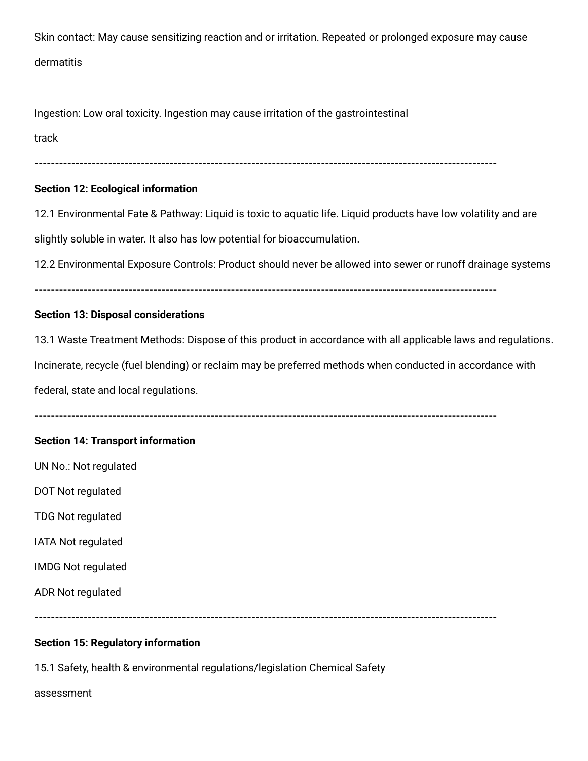Skin contact: May cause sensitizing reaction and or irritation. Repeated or prolonged exposure may cause dermatitis

Ingestion: Low oral toxicity. Ingestion may cause irritation of the gastrointestinal

track

**-----------------------------------------------------------------------------------------------------------------**

# **Section 12: Ecological information**

12.1 Environmental Fate & Pathway: Liquid is toxic to aquatic life. Liquid products have low volatility and are slightly soluble in water. It also has low potential for bioaccumulation.

12.2 Environmental Exposure Controls: Product should never be allowed into sewer or runoff drainage systems

**-----------------------------------------------------------------------------------------------------------------**

# **Section 13: Disposal considerations**

13.1 Waste Treatment Methods: Dispose of this product in accordance with all applicable laws and regulations.

Incinerate, recycle (fuel blending) or reclaim may be preferred methods when conducted in accordance with

federal, state and local regulations.

**-----------------------------------------------------------------------------------------------------------------**

# **Section 14: Transport information**

UN No.: Not regulated

DOT Not regulated

TDG Not regulated

IATA Not regulated

IMDG Not regulated

ADR Not regulated

**-----------------------------------------------------------------------------------------------------------------**

# **Section 15: Regulatory information**

15.1 Safety, health & environmental regulations/legislation Chemical Safety

assessment